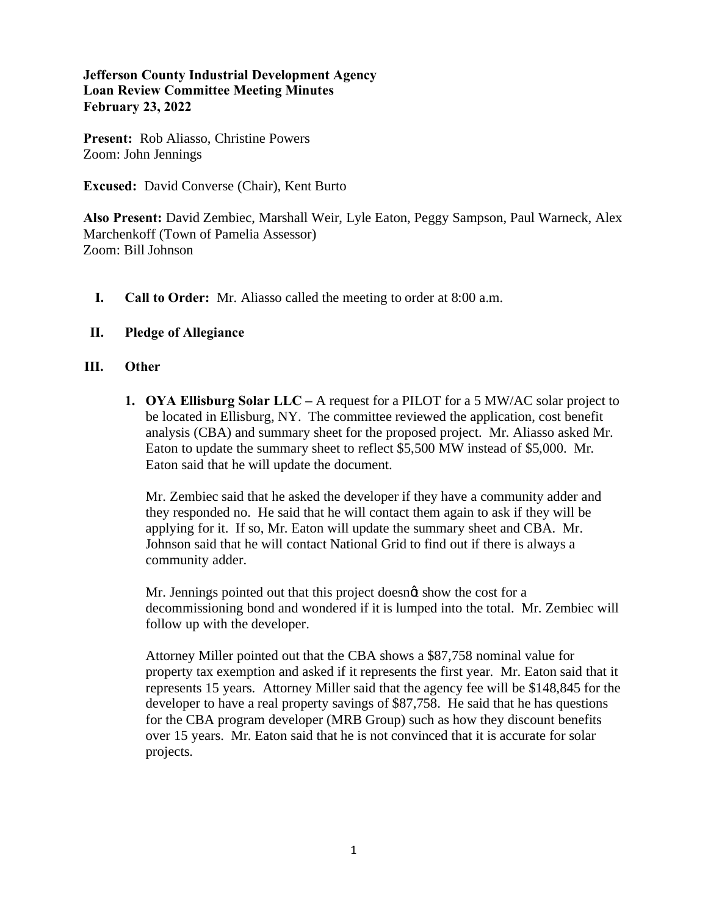## **Jefferson County Industrial Development Agency Loan Review Committee Meeting Minutes February 23, 2022**

**Present:** Rob Aliasso, Christine Powers Zoom: John Jennings

**Excused:** David Converse (Chair), Kent Burto

**Also Present:** David Zembiec, Marshall Weir, Lyle Eaton, Peggy Sampson, Paul Warneck, Alex Marchenkoff (Town of Pamelia Assessor) Zoom: Bill Johnson

- **I. Call to Order:** Mr. Aliasso called the meeting to order at 8:00 a.m.
- **II. Pledge of Allegiance**

## **III. Other**

**1. OYA Ellisburg Solar LLC –** A request for a PILOT for a 5 MW/AC solar project to be located in Ellisburg, NY. The committee reviewed the application, cost benefit analysis (CBA) and summary sheet for the proposed project. Mr. Aliasso asked Mr. Eaton to update the summary sheet to reflect \$5,500 MW instead of \$5,000. Mr. Eaton said that he will update the document.

Mr. Zembiec said that he asked the developer if they have a community adder and they responded no. He said that he will contact them again to ask if they will be applying for it. If so, Mr. Eaton will update the summary sheet and CBA. Mr. Johnson said that he will contact National Grid to find out if there is always a community adder.

Mr. Jennings pointed out that this project doesnot show the cost for a decommissioning bond and wondered if it is lumped into the total. Mr. Zembiec will follow up with the developer.

Attorney Miller pointed out that the CBA shows a \$87,758 nominal value for property tax exemption and asked if it represents the first year. Mr. Eaton said that it represents 15 years. Attorney Miller said that the agency fee will be \$148,845 for the developer to have a real property savings of \$87,758. He said that he has questions for the CBA program developer (MRB Group) such as how they discount benefits over 15 years. Mr. Eaton said that he is not convinced that it is accurate for solar projects.